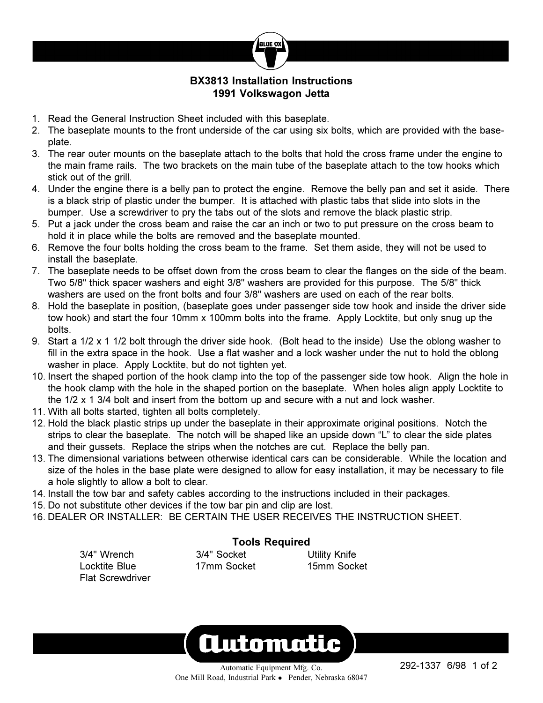

## **BX3813 Installation Instructions 1991 Volkswagon Jetta**

- 1. Read the General Instruction Sheet included with this baseplate.
- 2. The baseplate mounts to the front underside of the car using six bolts, which are provided with the baseplate.
- 3. The rear outer mounts on the baseplate attach to the bolts that hold the cross frame under the engine to the main frame rails. The two brackets on the main tube of the baseplate attach to the tow hooks which stick out of the grill.
- 4. Under the engine there is a belly pan to protect the engine. Remove the belly pan and set it aside. There is a black strip of plastic under the bumper. It is attached with plastic tabs that slide into slots in the bumper. Use a screwdriver to pry the tabs out of the slots and remove the black plastic strip.
- 5. Put a jack under the cross beam and raise the car an inch or two to put pressure on the cross beam to hold it in place while the bolts are removed and the baseplate mounted.
- 6. Remove the four bolts holding the cross beam to the frame. Set them aside, they will not be used to install the baseplate.
- 7. The baseplate needs to be offset down from the cross beam to clear the flanges on the side of the beam. Two 5/8" thick spacer washers and eight 3/8" washers are provided for this purpose. The 5/8" thick washers are used on the front bolts and four 3/8" washers are used on each of the rear bolts.
- 8. Hold the baseplate in position, (baseplate goes under passenger side tow hook and inside the driver side tow hook) and start the four 10mm x 100mm bolts into the frame. Apply Locktite, but only snug up the bolts.
- 9. Start a 1/2 x 1 1/2 bolt through the driver side hook. (Bolt head to the inside) Use the oblong washer to fill in the extra space in the hook. Use a flat washer and a lock washer under the nut to hold the oblong washer in place. Apply Locktite, but do not tighten yet.
- 10. Insert the shaped portion of the hook clamp into the top of the passenger side tow hook. Align the hole in the hook clamp with the hole in the shaped portion on the baseplate. When holes align apply Locktite to the 1/2 x 1 3/4 bolt and insert from the bottom up and secure with a nut and lock washer.
- 11. With all bolts started, tighten all bolts completely.

Flat Screwdriver

- 12. Hold the black plastic strips up under the baseplate in their approximate original positions. Notch the strips to clear the baseplate. The notch will be shaped like an upside down "L" to clear the side plates and their gussets. Replace the strips when the notches are cut. Replace the belly pan.
- 13. The dimensional variations between otherwise identical cars can be considerable. While the location and size of the holes in the base plate were designed to allow for easy installation, it may be necessary to file a hole slightly to allow a bolt to clear.
- 14. Install the tow bar and safety cables according to the instructions included in their packages.
- 15. Do not substitute other devices if the tow bar pin and clip are lost.
- 16. DEALER OR INSTALLER: BE CERTAIN THE USER RECEIVES THE INSTRUCTION SHEET.

**Tools Required** 3/4" Wrench 3/4" Socket Utility Knife

Locktite Blue 17mm Socket 15mm Socket